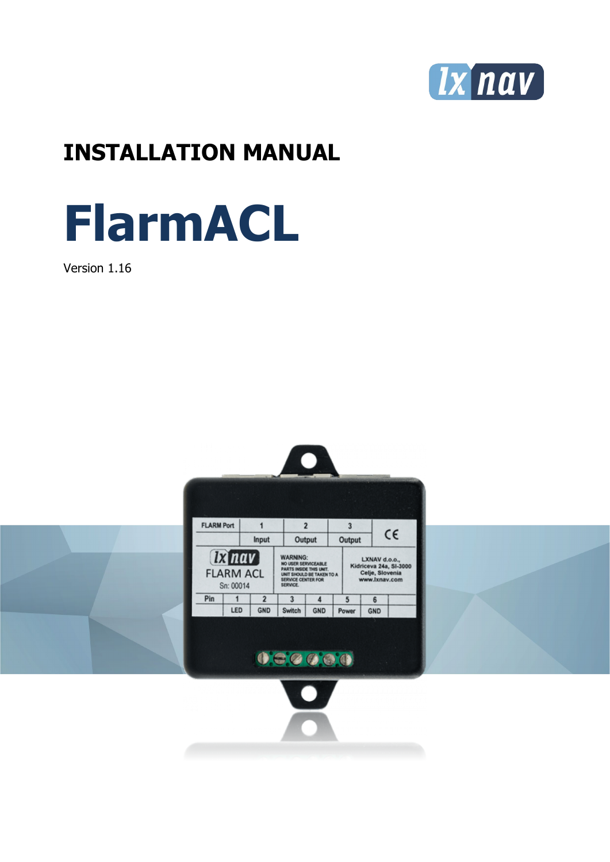

## **INSTALLATION MANUAL**



Version 1.16

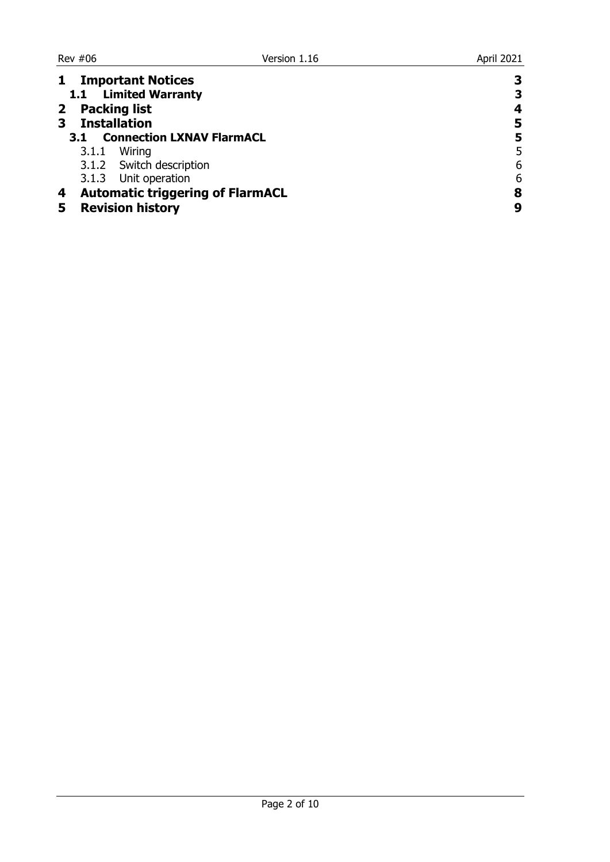| <b>Important Notices</b>                     |   |
|----------------------------------------------|---|
| 1.1 Limited Warranty                         | 3 |
| 2 Packing list                               |   |
| <b>Installation</b>                          | 5 |
| <b>Connection LXNAV FlarmACL</b><br>3.1      |   |
| 3.1.1 Wiring                                 | 5 |
| 3.1.2 Switch description                     | 6 |
| 3.1.3 Unit operation                         | 6 |
| <b>Automatic triggering of FlarmACL</b><br>4 | 8 |
| <b>Revision history</b>                      |   |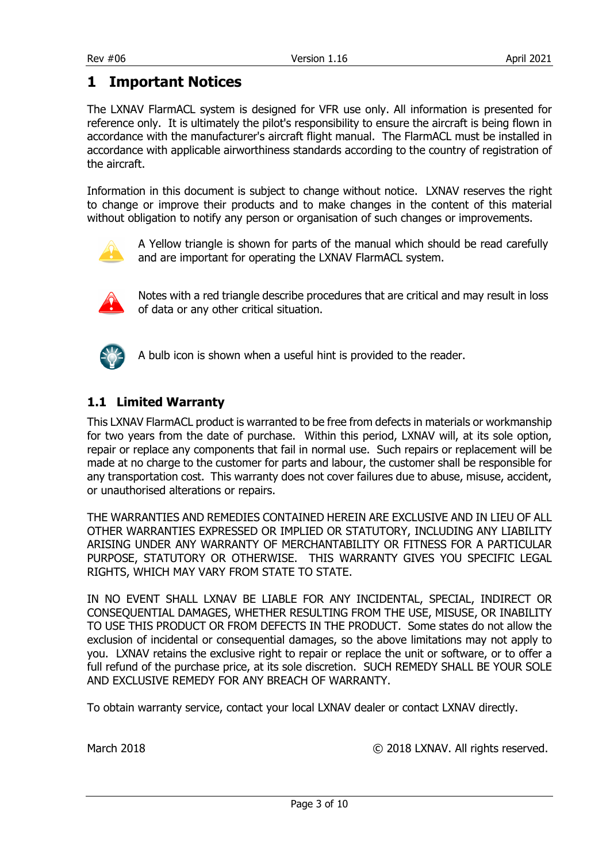#### <span id="page-2-0"></span>**1 Important Notices**

The LXNAV FlarmACL system is designed for VFR use only. All information is presented for reference only. It is ultimately the pilot's responsibility to ensure the aircraft is being flown in accordance with the manufacturer's aircraft flight manual. The FlarmACL must be installed in accordance with applicable airworthiness standards according to the country of registration of the aircraft.

Information in this document is subject to change without notice. LXNAV reserves the right to change or improve their products and to make changes in the content of this material without obligation to notify any person or organisation of such changes or improvements.



A Yellow triangle is shown for parts of the manual which should be read carefully and are important for operating the LXNAV FlarmACL system.



Notes with a red triangle describe procedures that are critical and may result in loss of data or any other critical situation.



A bulb icon is shown when a useful hint is provided to the reader.

#### <span id="page-2-1"></span>**1.1 Limited Warranty**

This LXNAV FlarmACL product is warranted to be free from defects in materials or workmanship for two years from the date of purchase. Within this period, LXNAV will, at its sole option, repair or replace any components that fail in normal use. Such repairs or replacement will be made at no charge to the customer for parts and labour, the customer shall be responsible for any transportation cost. This warranty does not cover failures due to abuse, misuse, accident, or unauthorised alterations or repairs.

THE WARRANTIES AND REMEDIES CONTAINED HEREIN ARE EXCLUSIVE AND IN LIEU OF ALL OTHER WARRANTIES EXPRESSED OR IMPLIED OR STATUTORY, INCLUDING ANY LIABILITY ARISING UNDER ANY WARRANTY OF MERCHANTABILITY OR FITNESS FOR A PARTICULAR PURPOSE, STATUTORY OR OTHERWISE. THIS WARRANTY GIVES YOU SPECIFIC LEGAL RIGHTS, WHICH MAY VARY FROM STATE TO STATE.

IN NO EVENT SHALL LXNAV BE LIABLE FOR ANY INCIDENTAL, SPECIAL, INDIRECT OR CONSEQUENTIAL DAMAGES, WHETHER RESULTING FROM THE USE, MISUSE, OR INABILITY TO USE THIS PRODUCT OR FROM DEFECTS IN THE PRODUCT. Some states do not allow the exclusion of incidental or consequential damages, so the above limitations may not apply to you. LXNAV retains the exclusive right to repair or replace the unit or software, or to offer a full refund of the purchase price, at its sole discretion. SUCH REMEDY SHALL BE YOUR SOLE AND EXCLUSIVE REMEDY FOR ANY BREACH OF WARRANTY.

To obtain warranty service, contact your local LXNAV dealer or contact LXNAV directly.

March 2018 C 2018 LXNAV. All rights reserved.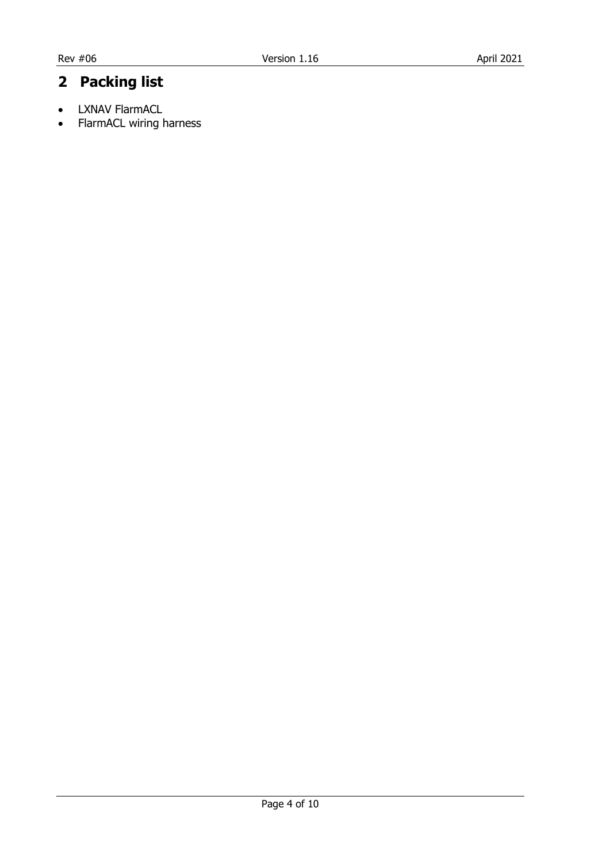#### <span id="page-3-0"></span>**2 Packing list**

- LXNAV FlarmACL
- FlarmACL wiring harness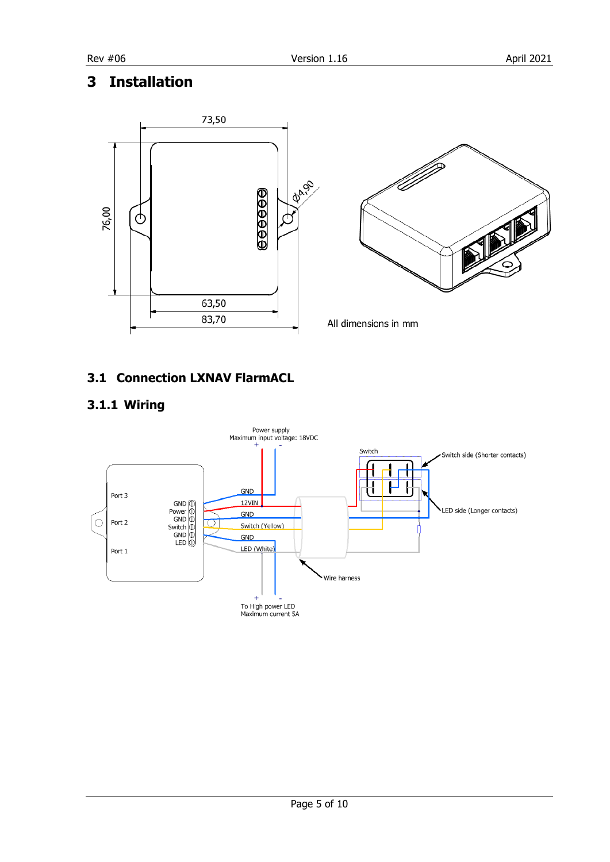#### <span id="page-4-0"></span>**3 Installation**



#### <span id="page-4-1"></span>**3.1 Connection LXNAV FlarmACL**

#### <span id="page-4-2"></span>**3.1.1 Wiring**

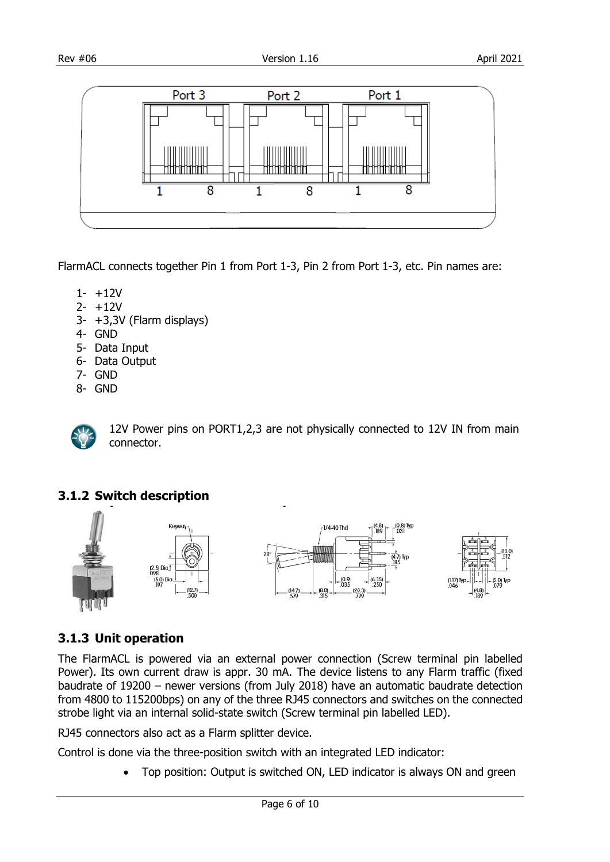

FlarmACL connects together Pin 1 from Port 1-3, Pin 2 from Port 1-3, etc. Pin names are:

- 1- +12V
- 2- +12V
- 3- +3,3V (Flarm displays)
- 4- GND
- 5- Data Input
- 6- Data Output
- 7- GND
- 8- GND



12V Power pins on PORT1,2,3 are not physically connected to 12V IN from main connector.

#### <span id="page-5-0"></span>**3.1.2 Switch description**



#### <span id="page-5-1"></span>**3.1.3 Unit operation**

The FlarmACL is powered via an external power connection (Screw terminal pin labelled Power). Its own current draw is appr. 30 mA. The device listens to any Flarm traffic (fixed baudrate of 19200 – newer versions (from July 2018) have an automatic baudrate detection from 4800 to 115200bps) on any of the three RJ45 connectors and switches on the connected strobe light via an internal solid-state switch (Screw terminal pin labelled LED).

RJ45 connectors also act as a Flarm splitter device.

Control is done via the three-position switch with an integrated LED indicator:

• Top position: Output is switched ON, LED indicator is always ON and green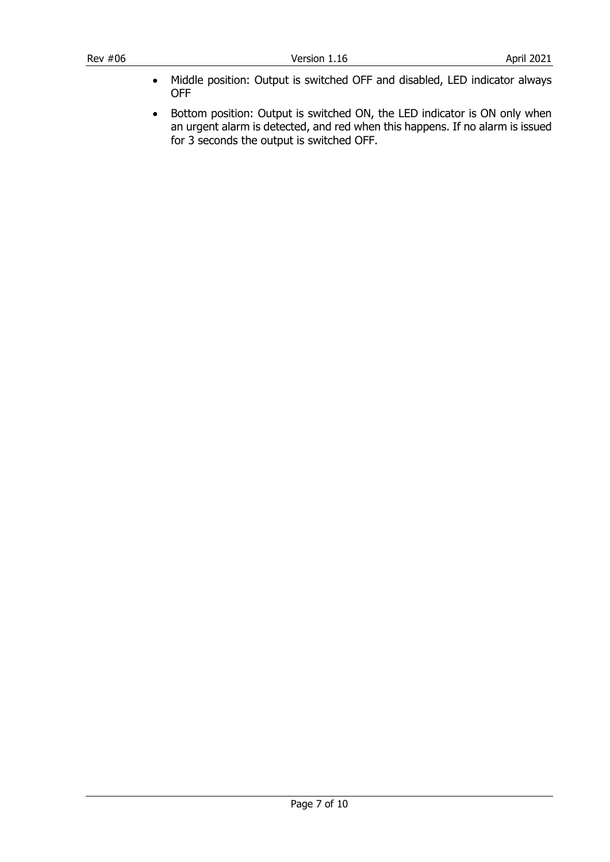- Middle position: Output is switched OFF and disabled, LED indicator always OFF
- Bottom position: Output is switched ON, the LED indicator is ON only when an urgent alarm is detected, and red when this happens. If no alarm is issued for 3 seconds the output is switched OFF.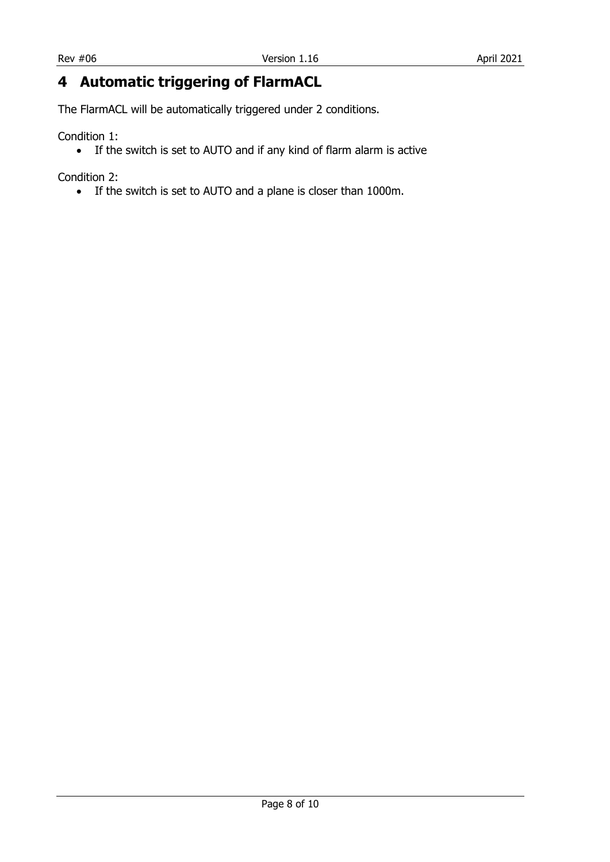#### <span id="page-7-0"></span>**4 Automatic triggering of FlarmACL**

The FlarmACL will be automatically triggered under 2 conditions.

Condition 1:

• If the switch is set to AUTO and if any kind of flarm alarm is active

Condition 2:

• If the switch is set to AUTO and a plane is closer than 1000m.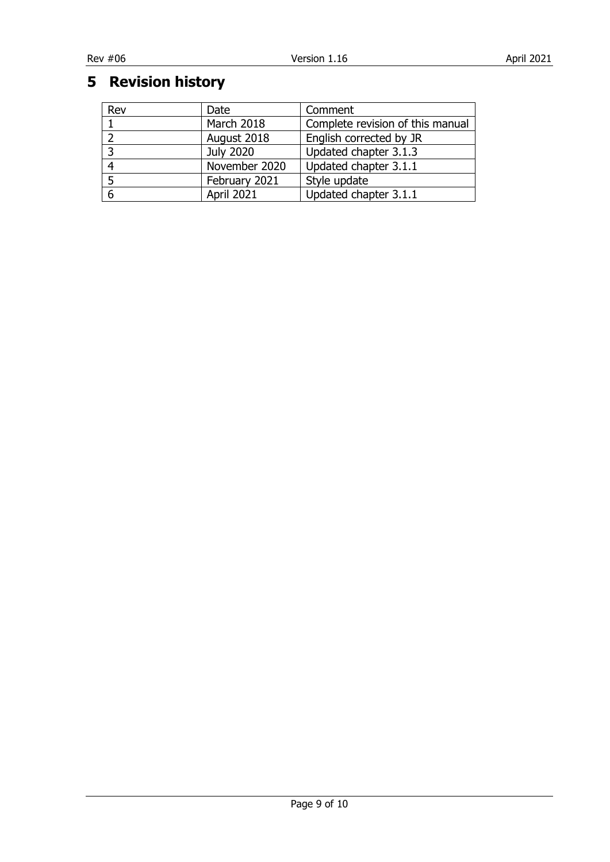### <span id="page-8-0"></span>**Revision history**

| Rev | Date          | Comment                          |
|-----|---------------|----------------------------------|
|     | March 2018    | Complete revision of this manual |
|     | August 2018   | English corrected by JR          |
| - 2 | July 2020     | Updated chapter 3.1.3            |
|     | November 2020 | Updated chapter 3.1.1            |
|     | February 2021 | Style update                     |
| 6   | April 2021    | Updated chapter 3.1.1            |